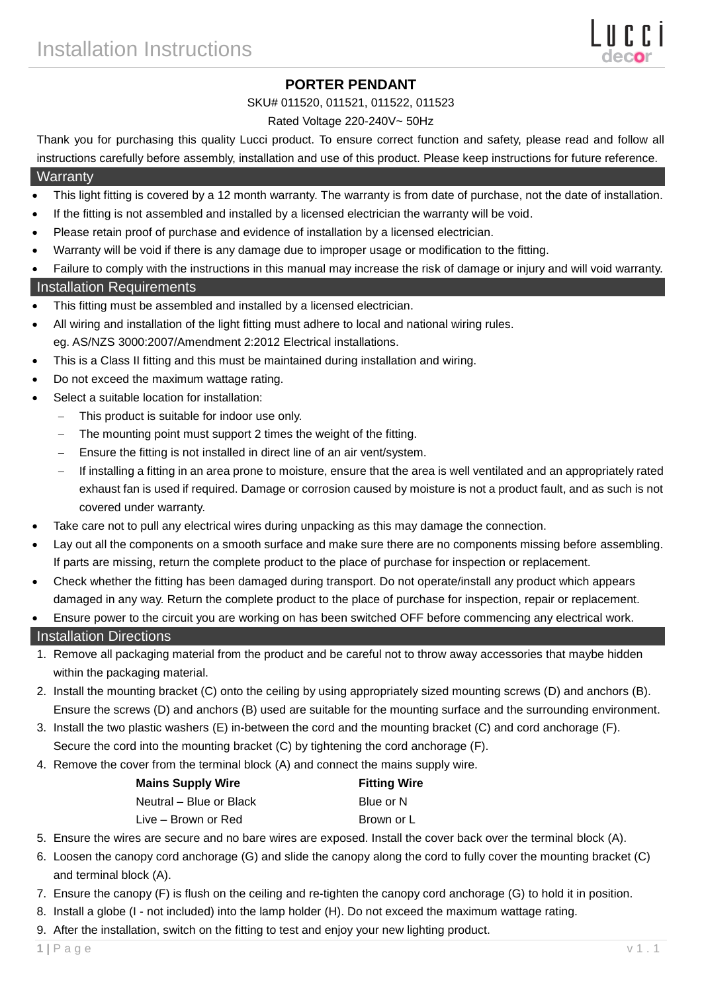# **PORTER PENDANT**

#### SKU# 011520, 011521, 011522, 011523

#### Rated Voltage 220-240V~ 50Hz

Thank you for purchasing this quality Lucci product. To ensure correct function and safety, please read and follow all instructions carefully before assembly, installation and use of this product. Please keep instructions for future reference. **Warranty** 

#### This light fitting is covered by a 12 month warranty. The warranty is from date of purchase, not the date of installation.

- If the fitting is not assembled and installed by a licensed electrician the warranty will be void.
- Please retain proof of purchase and evidence of installation by a licensed electrician.
- Warranty will be void if there is any damage due to improper usage or modification to the fitting.

Failure to comply with the instructions in this manual may increase the risk of damage or injury and will void warranty.

### Installation Requirements

- This fitting must be assembled and installed by a licensed electrician.
- All wiring and installation of the light fitting must adhere to local and national wiring rules. eg. AS/NZS 3000:2007/Amendment 2:2012 Electrical installations.
- This is a Class II fitting and this must be maintained during installation and wiring.
- Do not exceed the maximum wattage rating.
- Select a suitable location for installation:
	- This product is suitable for indoor use only.
	- The mounting point must support 2 times the weight of the fitting.
	- Ensure the fitting is not installed in direct line of an air vent/system.
	- If installing a fitting in an area prone to moisture, ensure that the area is well ventilated and an appropriately rated exhaust fan is used if required. Damage or corrosion caused by moisture is not a product fault, and as such is not covered under warranty.
- Take care not to pull any electrical wires during unpacking as this may damage the connection.
- Lay out all the components on a smooth surface and make sure there are no components missing before assembling. If parts are missing, return the complete product to the place of purchase for inspection or replacement.
- Check whether the fitting has been damaged during transport. Do not operate/install any product which appears damaged in any way. Return the complete product to the place of purchase for inspection, repair or replacement.

Ensure power to the circuit you are working on has been switched OFF before commencing any electrical work.

### Installation Directions

- 1. Remove all packaging material from the product and be careful not to throw away accessories that maybe hidden within the packaging material.
- 2. Install the mounting bracket (C) onto the ceiling by using appropriately sized mounting screws (D) and anchors (B). Ensure the screws (D) and anchors (B) used are suitable for the mounting surface and the surrounding environment.
- 3. Install the two plastic washers (E) in-between the cord and the mounting bracket (C) and cord anchorage (F).
- Secure the cord into the mounting bracket (C) by tightening the cord anchorage (F).
- 4. Remove the cover from the terminal block (A) and connect the mains supply wire.

| <b>Mains Supply Wire</b> | <b>Fitting Wire</b> |
|--------------------------|---------------------|
| Neutral – Blue or Black  | Blue or N           |
| Live – Brown or Red      | Brown or L          |

- 5. Ensure the wires are secure and no bare wires are exposed. Install the cover back over the terminal block (A).
- 6. Loosen the canopy cord anchorage (G) and slide the canopy along the cord to fully cover the mounting bracket (C) and terminal block (A).
- 7. Ensure the canopy (F) is flush on the ceiling and re-tighten the canopy cord anchorage (G) to hold it in position.
- 8. Install a globe (I not included) into the lamp holder (H). Do not exceed the maximum wattage rating.
- 9. After the installation, switch on the fitting to test and enjoy your new lighting product.